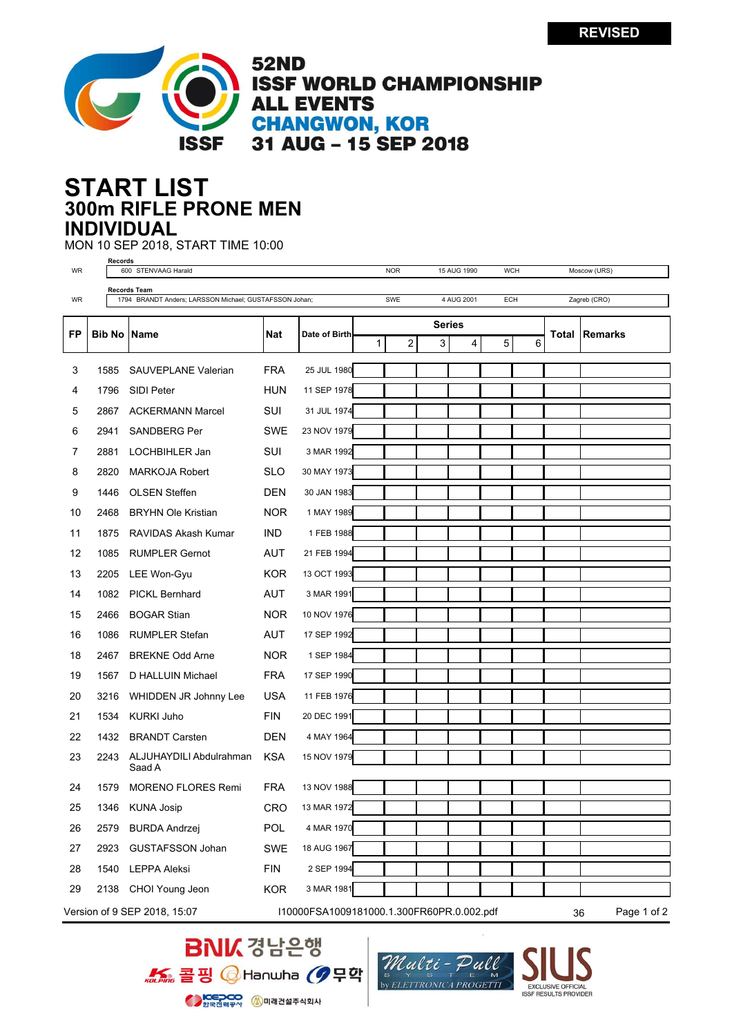

**52ND ISSF WORLD CHAMPIONSHIP ALL EVENTS CHANGWON, KOR** 31 AUG - 15 SEP 2018

## **300m RIFLE PRONE MEN START LIST INDIVIDUAL**

MON 10 SEP 2018, START TIME 10:00

| WR                                                                              |                                                        | Records<br>600 STENVAAG Harald |                                   |            | <b>NOR</b><br>15 AUG 1990 |               |                   | <b>WCH</b> |             |   | Moscow (URS) |   |              |                |  |
|---------------------------------------------------------------------------------|--------------------------------------------------------|--------------------------------|-----------------------------------|------------|---------------------------|---------------|-------------------|------------|-------------|---|--------------|---|--------------|----------------|--|
|                                                                                 | Records Team                                           |                                |                                   |            |                           |               |                   |            |             |   |              |   |              |                |  |
| WR                                                                              | 1794 BRANDT Anders; LARSSON Michael; GUSTAFSSON Johan; |                                |                                   |            |                           |               | SWE<br>4 AUG 2001 |            |             |   | ECH          |   | Zagreb (CRO) |                |  |
|                                                                                 |                                                        |                                |                                   |            |                           | <b>Series</b> |                   |            |             |   |              |   |              |                |  |
| FP                                                                              | <b>Bib No   Name</b>                                   |                                |                                   | Nat        | Date of Birth             | 1             |                   | 2          | 3           | 4 | 5            | 6 | Total        | <b>Remarks</b> |  |
|                                                                                 |                                                        |                                |                                   |            |                           |               |                   |            |             |   |              |   |              |                |  |
| 3                                                                               | 1585                                                   |                                | <b>SAUVEPLANE Valerian</b>        | <b>FRA</b> | 25 JUL 1980               |               |                   |            |             |   |              |   |              |                |  |
| 4                                                                               | 1796                                                   |                                | SIDI Peter                        | <b>HUN</b> | 11 SEP 1978               |               |                   |            |             |   |              |   |              |                |  |
| 5                                                                               | 2867                                                   |                                | <b>ACKERMANN Marcel</b>           | SUI        | 31 JUL 1974               |               |                   |            |             |   |              |   |              |                |  |
| 6                                                                               | 2941                                                   |                                | <b>SANDBERG Per</b>               | <b>SWE</b> | 23 NOV 1979               |               |                   |            |             |   |              |   |              |                |  |
| 7                                                                               | 2881                                                   |                                | LOCHBIHLER Jan                    | SUI        | 3 MAR 1992                |               |                   |            |             |   |              |   |              |                |  |
| 8                                                                               | 2820                                                   |                                | <b>MARKOJA Robert</b>             | <b>SLO</b> | 30 MAY 1973               |               |                   |            |             |   |              |   |              |                |  |
| 9                                                                               | 1446                                                   |                                | <b>OLSEN Steffen</b>              | <b>DEN</b> | 30 JAN 1983               |               |                   |            |             |   |              |   |              |                |  |
| 10                                                                              | 2468                                                   |                                | <b>BRYHN Ole Kristian</b>         | <b>NOR</b> | 1 MAY 1989                |               |                   |            |             |   |              |   |              |                |  |
| 11                                                                              | 1875                                                   |                                | RAVIDAS Akash Kumar               | <b>IND</b> | 1 FEB 1988                |               |                   |            |             |   |              |   |              |                |  |
| 12                                                                              | 1085                                                   |                                | <b>RUMPLER Gernot</b>             | <b>AUT</b> | 21 FEB 1994               |               |                   |            |             |   |              |   |              |                |  |
| 13                                                                              | 2205                                                   |                                | LEE Won-Gyu                       | <b>KOR</b> | 13 OCT 1993               |               |                   |            |             |   |              |   |              |                |  |
| 14                                                                              | 1082                                                   |                                | <b>PICKL Bernhard</b>             | AUT        | 3 MAR 1991                |               |                   |            |             |   |              |   |              |                |  |
| 15                                                                              | 2466                                                   |                                | <b>BOGAR Stian</b>                | <b>NOR</b> | 10 NOV 1976               |               |                   |            |             |   |              |   |              |                |  |
| 16                                                                              | 1086                                                   |                                | <b>RUMPLER Stefan</b>             | <b>AUT</b> | 17 SEP 1992               |               |                   |            |             |   |              |   |              |                |  |
| 18                                                                              | 2467                                                   |                                | <b>BREKNE Odd Arne</b>            | <b>NOR</b> | 1 SEP 1984                |               |                   |            |             |   |              |   |              |                |  |
| 19                                                                              | 1567                                                   |                                | D HALLUIN Michael                 | <b>FRA</b> | 17 SEP 1990               |               |                   |            |             |   |              |   |              |                |  |
| 20                                                                              | 3216                                                   |                                | WHIDDEN JR Johnny Lee             | <b>USA</b> | 11 FEB 1976               |               |                   |            |             |   |              |   |              |                |  |
| 21                                                                              | 1534                                                   |                                | <b>KURKI Juho</b>                 | <b>FIN</b> | 20 DEC 1991               |               |                   |            |             |   |              |   |              |                |  |
| 22                                                                              | 1432                                                   |                                | <b>BRANDT Carsten</b>             | <b>DEN</b> | 4 MAY 1964                |               |                   |            |             |   |              |   |              |                |  |
| 23                                                                              | 2243                                                   |                                | ALJUHAYDILI Abdulrahman<br>Saad A | <b>KSA</b> | 15 NOV 1979               |               |                   |            |             |   |              |   |              |                |  |
| 24                                                                              | 1579                                                   |                                | <b>MORENO FLORES Remi</b>         | <b>FRA</b> | 13 NOV 1988               |               |                   |            |             |   |              |   |              |                |  |
| 25                                                                              | 1346                                                   |                                | <b>KUNA Josip</b>                 | CRO        | 13 MAR 1972               |               |                   |            |             |   |              |   |              |                |  |
| 26                                                                              | 2579                                                   |                                | <b>BURDA Andrzej</b>              | POL        | 4 MAR 1970                |               |                   |            |             |   |              |   |              |                |  |
| 27                                                                              | 2923                                                   |                                | <b>GUSTAFSSON Johan</b>           | SWE        | 18 AUG 1967               |               |                   |            |             |   |              |   |              |                |  |
| 28                                                                              | 1540                                                   |                                | <b>LEPPA Aleksi</b>               | <b>FIN</b> | 2 SEP 1994                |               |                   |            |             |   |              |   |              |                |  |
| 29                                                                              |                                                        |                                | 2138 CHOI Young Jeon              | <b>KOR</b> | 3 MAR 1981                |               |                   |            |             |   |              |   |              |                |  |
|                                                                                 |                                                        |                                |                                   |            |                           |               |                   |            |             |   |              |   |              |                |  |
| Version of 9 SEP 2018, 15:07<br>I10000FSA1009181000.1.300FR60PR.0.002.pdf<br>36 |                                                        |                                |                                   |            |                           |               |                   |            | Page 1 of 2 |   |              |   |              |                |  |